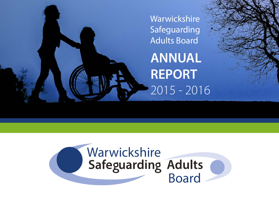

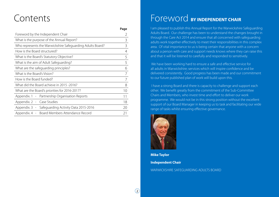### Contents

|                                                            | Page |
|------------------------------------------------------------|------|
| Foreword by the Independent Chair                          |      |
| What is the purpose of the Annual Report?                  | 3    |
| Who represents the Warwickshire Safeguarding Adults Board? | 3    |
| How is the Board structured?                               | 4    |
| What is the Board's Statutory Objective?                   | 5    |
| What is the aim of Adult Safeguarding?                     | 5    |
| What are the safeguarding principles?                      | 6    |
| What is the Board's Vision?                                |      |
| How is the Board funded?                                   |      |
| What did the Board achieve in 2015 -2016?                  | 8    |
| What are the Board's priorities for 2016-2017?             | 10   |
| Appendix. 1 - Partnership Organisation Reports             | 11   |
| Appendix. 2 - Case Studies                                 | 18   |
| Appendix. 3 - Safeguarding Activity Data 2015-2016         | 20   |
| Appendix. 4 - Board Members Attendance Record              | 21   |

### Foreword **BY INDEPENDENT CHAIR**

I am pleased to publish this Annual Report for the Warwickshire Safeguarding Adults Board. Our challenge has been to understand the changes brought in through the Care Act 2014 and ensure that all concerned with safeguarding adults work together effectively to meet their responsibilities in this complex area. Of vital importance to us is being certain that anyone with a concern about a person with care and support needs knows where they can raise this and that it will be listened to carefully and responded to sensitively.

We have been working hard to ensure a safe and effective service for all adults in Warwickshire; services which will inspire confidence and be delivered consistently. Good progress has been made and our commitment to our future published plan of work will build upon this.

 I have a strong Board and there is capacity to challenge and support each other. We benefit greatly from the commitment of the Sub-Committee Chairs and Members, who invest time and effort to deliver our work programme. We would not be in this strong position without the excellent support of our Board Manager in keeping us to task and facilitating our wide range of tasks whilst ensuring effective governance.



**Mike Taylor Independent Chair** WARWICKSHIRE SAFEGUARDING ADULTS BOARD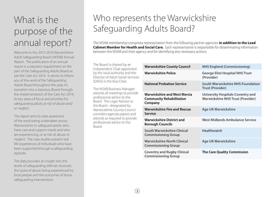# What is the purpose of the annual report?

Welcome to the 2015-2016 Warwickshire Adult Safeguarding Board (WSAB) Annual Report. The publication of an annual report is a statutory requirement on the part of the Safeguarding Adults Board as per the Care Act 2014. It serves to inform you of the work of the Safeguarding Adults Board throughout the year, it's transition into a statutory Board through the implementation of the Care Act 2014, its key areas of focus and priorities for safeguarding adults at risk of abuse and/ or neglect.

The report aims to raise awareness of the work being undertaken across Warwickshire to safeguard adults who have care and support needs and who are experiencing, or at risk of, abuse or neglect. The case studies present real life experiences of individuals who have been supported through a safeguarding episode.

The data provides an insight into the levels of safeguarding referrals received, the types of abuse being experienced by local people and the outcomes of those safeguarding interventions.

# Who represents the Warwickshire Safeguarding Adults Board?

The WSAB membership comprises representation from the following partner agencies **in addition to the Lead Cabinet Member for Health and Social Care.** Each representative is responsible for disseminating information between the WSAB and their agency and for identifying any necessary actions.

The Board is chaired by an Independent Chair appointed by the local authority and the Director of Adult Social Services (DASS) is the Vice Chair.

The WSAB Business Manager attends all meetings to provide professional advice to the Board. The Legal Advisor to the Board - designated by Warwickshire County Council considers agenda papers and attends as required to provide professional advice to the Board.

| <b>Warwickshire County Council</b>                                                | <b>NHS England (Commissioning)</b>                                                   |
|-----------------------------------------------------------------------------------|--------------------------------------------------------------------------------------|
| Warwickshire Police                                                               | <b>George Eliot Hospital NHS Trust</b><br>(Provider)                                 |
| <b>National Probation Service</b>                                                 | <b>South Warwickshire NHS Foundation</b><br><b>Trust (Provider)</b>                  |
| <b>Warwickshire and West Mercia</b><br><b>Community Rehabilitation</b><br>Company | <b>University Hospitals Coventry and</b><br><b>Warwickshire NHS Trust (Provider)</b> |
| <b>Warwickshire Fire and Rescue</b><br><b>Service</b>                             | <b>Age UK Warwickshire</b>                                                           |
| <b>Warwickshire District and</b><br><b>Borough Councils</b>                       | West Midlands Ambulance Service                                                      |
| South Warwickshire Clinical<br><b>Commissioning Group</b>                         | <b>Healthwatch</b>                                                                   |
| <b>Warwickshire North Clinical</b><br><b>Commissioning Group</b>                  | <b>Age UK Warwickshire</b>                                                           |
| <b>Coventry and Rugby Clinical</b><br><b>Commissioning Group</b>                  | <b>The Care Quality Commission</b>                                                   |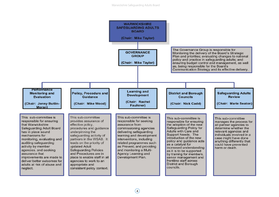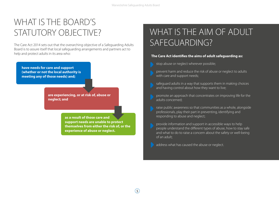# WHAT IS THE BOARD'S

Board is to assure itself that local safeguarding arrangements and partners act to help and protect adults in its area who:

**have needs for care and support (whether or not the local authority is meeting any of those needs) and;** 

> **are experiencing, or at risk of, abuse or neglect; and**

> > **as a result of those care and support needs are unable to protect themselves from either the risk of, or the experience of abuse or neglect.**

# STATUTORY OBJECTIVE? WHAT IS THE AIM OF ADULT The Care Act 2014 sets out that the overarching objective of a Safeguarding Adults **SAFEGUARDING?**

#### **The Care Act identifies the aims of adult safeguarding as:**

- stop abuse or neglect wherever possible;
- prevent harm and reduce the risk of abuse or neglect to adults with care and support needs;
- safeguard adults in a way that supports them in making choices and having control about how they want to live;
- promote an approach that concentrates on improving life for the adults concerned;
- raise public awareness so that communities as a whole, alongside professionals, play their part in preventing, identifying and responding to abuse and neglect;
- provide information and support in accessible ways to help people understand the different types of abuse, how to stay safe and what to do to raise a concern about the safety or well-being of an adult;

address what has caused the abuse or neglect.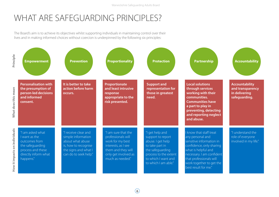### WHAT ARE SAFEGUARDING PRINCIPLES?

The Board's aim is to achieve its objectives whilst supporting individuals in maintaining control over their lives and in making informed choices without coercion is underpinned by the following six principles:

| Principle                     | <b>Empowerment</b>                                                                                                               | <b>Prevention</b>                                                                                                                       | <b>Proportionality</b>                                                                                                                                 | <b>Protection</b>                                                                                                                                                        | <b>Partnership</b>                                                                                                                                                                                                                     | <b>Accountability</b>                                                       |
|-------------------------------|----------------------------------------------------------------------------------------------------------------------------------|-----------------------------------------------------------------------------------------------------------------------------------------|--------------------------------------------------------------------------------------------------------------------------------------------------------|--------------------------------------------------------------------------------------------------------------------------------------------------------------------------|----------------------------------------------------------------------------------------------------------------------------------------------------------------------------------------------------------------------------------------|-----------------------------------------------------------------------------|
| <b>What does this mean</b>    | <b>Personalisation with</b><br>the presumption of<br>person-led decisions<br>and informed<br>consent.                            | It is better to take<br>action before harm<br>occurs.                                                                                   | Proportionate<br>and least intrusive<br>response<br>appropriate to the<br>risk presented.                                                              | <b>Support and</b><br>representation for<br>those in greatest<br>need.                                                                                                   | <b>Local solutions</b><br>through services<br>working with their<br>communities.<br><b>Communities have</b><br>a part to play in<br>preventing, detecting<br>and reporting neglect<br>and abuse.                                       | <b>Accountability</b><br>and transparency<br>in delivering<br>safeguarding. |
| How it impacts on individuals | "I am asked what<br>I want as the<br>outcomes from<br>the safeguarding<br>process and these<br>directly inform what<br>happens." | "I receive clear and<br>simple information<br>about what abuse<br>is, how to recognise<br>the signs and what I<br>can do to seek help." | "I am sure that the<br>professionals will<br>work for my best<br>interests, as I see<br>them and they will<br>only get involved as<br>much as needed." | "I get help and<br>support to report<br>abuse. I get help<br>to take part in<br>the safeguarding<br>process to the extent<br>to which I want and<br>to which I am able." | I know that staff treat<br>any personal and<br>sensitive information in<br>confidence, only sharing<br>what is helpful and<br>necessary. I am confident<br>that professionals will<br>work together to get the<br>best result for me." | "I understand the<br>role of everyone<br>involved in my life."              |

 $\odot$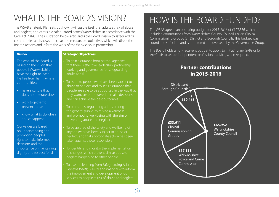### WHAT IS THE BOARD'S VISION? HOW IS THE BOARD FUNDED?

The WSAB Strategic Plan sets out how it will assure itself that adults at risk of abuse and neglect, and carers are safeguarded across Warwickshire in accordance with the Care Act 2014. The illustration below articulates the Board's vision to safeguard its communities and shows the clear and measurable objectives which will direct the Board's actions and inform the work of the Warwickshire partnership.

The work of the Board is based on the vision that people in Warwickshire have the right to live a life free from harm, where communities:

- have a culture that does not tolerate abuse
- work together to prevent abuse
- know what to do when abuse happens

Our values are based on understanding and promoting peoples' right to make informed decisions and the importance of maintaining dignity and respect for all.

To gain assurance from partner agencies that there is effective leadership, partnership working and governance for safeguarding adults at risk

To listen to people who have been subject to abuse or neglect, and to seek assurance that people are able to be supported in the way that they want, are empowered to make decisions, and can achieve the best outcomes

• To promote safeguarding adults among the general public, by raising awareness and promoting well-being with the aim of preventing abuse and neglect

To be assured of the safety and wellbeing of anyone who has been subject to abuse or neglect, and that appropriate action has been taken against those responsible

• To identify, and monitor the implementation of changes, which prevent similar abuse or neglect happening to other people

• To use the learning from Safeguarding Adults Reviews (SARs) – local and national – to inform the improvement and development of our services to people at risk of abuse and neglect

The WSAB agreed an operating budget for 2015-2016 of £127,886 which included contributions from Warwickshire County Council, Police, Clinical Commissioning Groups (3), District and Borough Councils. This budget was sound and sufficient and is monitored and overseen by the Governance Group.

The Board holds a non-recurrent budget to apply to initiating any SARs or for **Vision Strategic Objectives The Chair to secure independent professional advice, when required.** 

### **Partner contributions in 2015-2016**

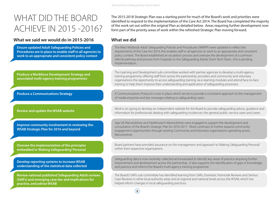$\left( 8\right)$ 

### WHAT DID THE BOARD ACHIEVE IN 2015 -2016?

#### **What we said we would do in 2015-2016 What we did**

**Ensure updated Adult Safeguarding Policies and Procedures are in place to enable staff in all agencies to work to an appropriate and consistent policy context**

**Produce a Workforce Development Strategy and associated multi-agency training programmes**

**Produce a Communications Strategy**

**Review and update the WSAB website**

**Improve community involvement in reviewing the WSAB Strategic Plan for 2016 and beyond**

**Oversee the implementation of the principles embedded in 'Making Safeguarding' Personal**

**Develop reporting systems to increase WSAB understanding of the statistical data collected**

**Review national published Safeguarding Adult reviews (SAR's) and emerging case law and implications for practice, and advise WSAB**

The 2015-2018 Strategic Plan was a starting point for much of the Board's work and priorities were identified to respond to the implementation of the Care Act 2014. The Board has completed the majority of the work set out within the original Plan as detailed below. Areas requiring further development now form part of the priority areas of work within the refreshed Strategic Plan moving forward.

The West Midlands Adult Safeguarding Policies and Procedures (WMPP) were updated to reflect the requirements of the Care Act 2014; this enables staff in all agencies to work to an appropriate and consistent policy context. The Board established an escalation process and oversaw the development of a common referral pathway and process from hospitals to the Safeguarding Adults Short Term Team; .this is pending implementation.

The Learning and Development sub-committee worked with partner agencies to develop a multi-agency training programme, offering staff from across the partnership, providers and community and voluntary organisations the opportunity to access safeguarding training via e-learning modules and attend face-to-face training to help them improve their understanding and application of safeguarding processes.

A Communications Protocol is now in place which serves to provide a consistent approach to the management of media enquiries and key messages relating to safeguarding cases.

Work is on-going to develop an independent website for the Board to provide safeguarding advice, guidance and information for professionals dealing with safeguarding incidences; the general public; service users and carers.

Age UK Warwickshire and Healthwatch Warwickshire were engaged to support the development and consultation of the Board's Strategic Plan for 2016-2017. Work continues to further expand community engagement opportunities through existing Community and Voluntary organisations operating across Warwickshire.

Board partners have provided assurance on the management and approach to 'Making Safeguarding Personal' within their respective organisations.

Safeguarding data is now routinely collected and evaluated to identify key areas of practice requiring further improvement and development across the partnership. It also supports the identification of gaps in knowledge and practice and informs the Board's multi-agency training programme.

The Board's SAR's sub-committee has Identified learning from SARs, Domestic Homicide Reviews and Serious Case Reviews in other local authority areas and at regional and national levels across the WSAB, which has helped inform changes in local safeguarding practices.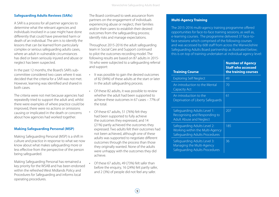#### **Safeguarding Adults Reviews (SARs)**

A SAR is a process for all partner agencies to determine what the relevant agencies and individuals involved in a case might have done differently that could have prevented harm or death of an individual. The aim is to identify the lessons that can be learned from particularly complex or serious safeguarding adults cases, where an adult in vulnerable circumstances has died or been seriously injured and abuse or neglect has been suspected.

In the past 12 months, the Board's SAR's subcommittee considered two cases where it was decided that the criteria for a SAR was not met. However, learning was identified and shared in both cases.

The criteria were not met because agencies had repeatedly tried to support the adult and, whilst there were examples of where practice could be improved, there were no actions or omissions causing or implicated in the death or concerns about how agencies had worked together.

#### **Making Safeguarding Personal (MSP)**

Making Safeguarding Personal (MSP) is a shift in culture and practice in response to what we now know about what makes safeguarding more or less effective from the perspective of the person being safeguarded.

Making Safeguarding Personal has remained a key priority for the WSAB and has been endorsed within the refreshed West Midlands Policy and Procedures for Safeguarding and informs local operating procedures.

The Board continued to seek assurance from partners on the engagement of individuals experiencing abuse or neglect, their families and/or their carers to establish their desired outcomes from the safeguarding process; identify risks and manage expectations.

Throughout 2015-2016 the adult safeguarding team in Social Care and Support continued to pilot the outcomes recording model. The following results are based on 87 adults in 2015- 16 who were subjected to a safeguarding referral and support:

- It was possible to gain the desired outcomes of 82 (94%) of these adults at the start or later in the adult safeguarding process.
- Of these 82 adults, it was possible to review whether the adult had been supported to achieve these outcomes in 67 cases – 77% of the total.
- Of these 67 adults, 51 (76%) felt they had been supported to fully achieve the outcomes they expressed, and 14 (21%) partly achieved the outcomes they expressed. Two adults felt their outcomes had not been achieved, although one of these adults was supported to negotiate different outcomes through the process than those they originally wanted. None of the adults were unhappy with the outcomes they did achieve.
- Of these 67 adults, 49 (73%) felt safer than before the enquiry, 16 (24%) felt partly safer, and 2 (3%) of people did not feel any safer.

#### **Multi-Agency Training**

The 2015-2016 multi-agency training programme offered opportunities for face-to-face training sessions, as well as, e-learning courses. The programme delivered 37 face-toface sessions which comprised of the following courses and was accessed by 608 staff from across the Warwickshire Safeguarding Adults Board partnership as illustrated below; this is on top of training undertaken at individual agency level:

| <b>Training Course</b>                                                                                   | <b>Number of Agency</b><br><b>Staff who accessed</b><br>the training courses |
|----------------------------------------------------------------------------------------------------------|------------------------------------------------------------------------------|
| <b>Exploring Self Neglect</b>                                                                            | 49                                                                           |
| An introduction to the Mental<br><b>Capacity Act</b>                                                     | 70                                                                           |
| An introduction to the<br>Deprivation of Liberty Safeguards                                              | 61                                                                           |
| Safeguarding Adults Level 1:<br>Recognising and Responding to<br><b>Adult Abuse and Neglect</b>          | 207                                                                          |
| Safeguarding Adults Level 2:<br><b>Working within the Multi-Agency</b><br>Safeguarding Adults Procedures | 185                                                                          |
| Safeguarding Adults Level 3:<br>Managing the Multi-Agency<br>Safeguarding Adults Procedures              | 36                                                                           |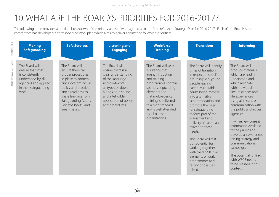# 10.WHAT ARE THE BOARD'S PRIORITIES FOR 2016-2017?

The following table provides a detailed breakdown of the priority areas of work agreed as part of the refreshed Strategic Plan for 2016-2017. Each of the Board's subcommittees has developed a corresponding work plan which aims to deliver against the following priorities:

| PRIORITY<br><b>Making</b><br><b>Safeguarding</b>                                                                                                       | <b>Safe Services</b>                                                                                                                                                                                                                      | <b>Listening and</b><br><b>Engaging</b>                                                                                                                                                                     | <b>Workforce</b><br><b>Training</b>                                                                                                                                                                                                                                   | <b>Transitions</b>                                                                                                                                                                                                                                                                                                                                                                                                                                                                                             | <b>Informing</b>                                                                                                                                                                                                                                                                                                                                                                                                                                                                       |
|--------------------------------------------------------------------------------------------------------------------------------------------------------|-------------------------------------------------------------------------------------------------------------------------------------------------------------------------------------------------------------------------------------------|-------------------------------------------------------------------------------------------------------------------------------------------------------------------------------------------------------------|-----------------------------------------------------------------------------------------------------------------------------------------------------------------------------------------------------------------------------------------------------------------------|----------------------------------------------------------------------------------------------------------------------------------------------------------------------------------------------------------------------------------------------------------------------------------------------------------------------------------------------------------------------------------------------------------------------------------------------------------------------------------------------------------------|----------------------------------------------------------------------------------------------------------------------------------------------------------------------------------------------------------------------------------------------------------------------------------------------------------------------------------------------------------------------------------------------------------------------------------------------------------------------------------------|
| What we will do<br>The Board will<br>ensure that MSP<br>is consistently<br>understood by all<br>agencies and applied<br>in their safeguarding<br>work. | The Board will<br>ensure there are<br>proper procedures<br>in place to address<br>any shortcomings in<br>policy and practice<br>and a readiness to<br>share learning from<br>Safeguarding Adults<br>Reviews (SAR's) and<br>'near misses'. | The Board will<br>ensure there is a<br>clear understanding<br>of the language<br>and context of<br>all types of abuse<br>alongside, a sound<br>and intelligible<br>application of policy<br>and procedures. | The Board will seek<br>assurance that<br>agency induction<br>and training<br>programmes contain<br>sound safeguarding<br>elements and<br>that multi-agency<br>training is delivered<br>to a high standard<br>and is well attended<br>by all partner<br>organisations. | The Board will identify<br>times of transition<br>in respect of specific<br>groupings e.g. young<br>people leaving<br>care or vulnerable<br>adults being moved<br>into alternative<br>accommodation and<br>promote the need<br>for safeguarding<br>to form part of the<br>assessment and<br>delivery of care plans<br>related to these<br>needs.<br>The Board will test<br>out potential for<br>working together<br>with the WSCB in all<br>elements of work<br>programmes and<br>respond to issues<br>raised. | The Board will<br>produce materials<br>which are readily<br>understood and<br>which resonate<br>with individual<br>circumstances and<br>life experiences,<br>using all means of<br>communication with<br>the public and across<br>agencies.<br>It will review current<br>information available<br>to the public and<br>develop an awareness<br>raising strategy and<br>communications<br>campaign.<br>The potential for links<br>with WSCB needs<br>to be realised in this<br>context. |

 $\sqrt{10}$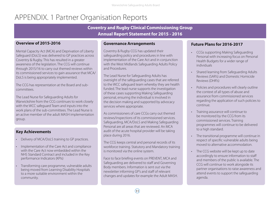### APPENDIX. 1 Partner Organisation Reports

**Coventry and Rugby Clinical Commissioning Group Annual Report Statement for 2015 - 2016**

#### **Overview of 2015-2016**

Mental Capacity Act (MCA) and Deprivation of Liberty Safeguard (DoLS) was delivered to GP practices across Coventry & Rugby. This has resulted in a greater awareness of the legislation. The CCG will continue through 2015/16 to carry out themed reviews within its commissioned services to gain assurance that MCA/ DoLS is being appropriately implemented.

The CCG has representation at the Board and subcommittees.

The Lead Nurse for Safeguarding Adults for Warwickshire from the CCG continues to work closely with the WCC safeguard Team and inputs into the work plans of the sub-committees. The Lead Nurse is an active member of the adult MASH implementation group.

#### **Key Achievements**

- Delivery of MCA/DoLS training to GP practices.
- Implementation of the Care Act and compliance with the Care Act now embedded within the NHS Standard Contract and included in the Key performance Indicators (KPIs)
- Transforming care programme, vulnerable adults being moved from Learning Disability Hospitals to a more suitable environment within the community.

#### **Governance Arrangements**

Coventry & Rugby CCG has updated their safeguarding policy and procedures in line with implementation of the Care Act and in conjunction with the West Midlands Safeguarding Adults Policy and Procedures.

The Lead Nurse for Safeguarding Adults has oversight of the safeguarding cases that are referred to the WCC safeguard team whereby they are health funded. The lead nurse supports the investigation of these cases supporting Making Safeguarding personal, ensuring the individual is involved in the decision making and supported by advocacy services where appropriate.

As commissioners of care CCGs carry out themed reviews/inspections of its commissioned services. Safeguarding, MCA/DoLS and Making Safeguarding Personal are all areas that are reviewed. An MCA audit of the acute hospital provider will be taking place during 2016.

The CCG keeps central and personal records of its workforce training. Statutory and Mandatory training is monitored via the online system.

Face to face briefing events on PREVENT, MCA and Safeguarding are delivered to staff and Governing Body members. Information is sent out via the newsletter informing GP's and staff of relevant changes and updates for example the Adult MASH.

#### **Future Plans for 2016-2017**

- CCGs supporting Making Safeguarding Personal with increasing focus on Personal Health Budgets for a wider range of individuals
- Shared learning from Safeguarding Adults Reviews (SAR's) and Domestic Homicide Reviews (DHR's)
- Policies and procedures will clearly outline the context of all types of abuse and assurance from commissioned services regarding the application of such policies to continue.
- Training assurance will continue to be monitored by the CCG from its commissioned services. Training programmes will continue to be delivered to a high standard.
- The transitional programme will continue in respect of specific vulnerable adults being moved to alternative accommodation.
- The CCG website will be kept up to date accordingly to ensure information to staff and members of the public is available. The CCG will continue to work alongside its partner organisations to raise awareness and attend events to support the safeguarding agenda.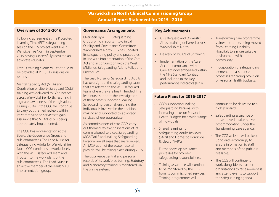#### **Warwickshire North Clinical Commissioning Group Annual Report Statement for 2015 - 2016**

#### **Overview of 2015-2016**

Following agreement at the Protected Learning Time (PLT) safeguarding session the IRIS project went live in Warwickshire North in September 2015 having successfully recruited an advocate educator.

Level 3 training events will continue to be provided at PLT (PLT) sessions on request.

Mental Capacity Act (MCA) and Deprivation of Liberty Safeguard (DoLS) training was delivered to GP practices across Warwickshire North, resulting in a greater awareness of the legislation. During 2016/17 the CCG will continue to carry out themed reviews within its commissioned services to gain assurance that MCA/DoLS is being appropriately implemented.

The CCG has representation at the Board, the Governance Group and sub-committees. The Lead Nurse for Safeguarding Adults for Warwickshire North CCG continues to work closely with the WCC safeguard Team and inputs into the work plans of the sub-committees. The Lead Nurse is an active member of the adult MASH implementation group.

#### **Governance Arrangements**

Overseen by a CCG Safeguarding Group, which reports into Clinical Quality and Governance Committee, Warwickshire North CCG has updated its safeguarding policy and procedures in line with implementation of the Care Act and in conjunction with the West Midlands Safeguarding Adults Policy and Procedures.

The Lead Nurse for Safeguarding Adults has oversight of the safeguarding cases that are referred to the WCC safeguard team where they are health funded. The lead nurse supports the investigation of these cases supporting Making Safeguarding personal, ensuring the individual is involved in the decision making and supported by advocacy services where appropriate.

As commissioners of care CCGs carry out themed reviews/inspections of its commissioned services. Safeguarding, MCA/DoLS and Making Safeguarding Personal are all areas that are reviewed. An MCA audit of the acute hospital provider will be taking place during 2016.

The CCG keeps central and personal records of its workforce training. Statutory and Mandatory training is monitored via the online system.

#### **Key Achievements**

- GP safeguard and Domestic Abuse training delivered across Warwickshire North
- Delivery of MCA/DoLS training.
- Implementation of the Care Act and compliance with the Care Act now embedded within the NHS Standard Contract and included in the Key performance Indicators (KPIs)

#### • Transforming care programme. vulnerable adults being moved from Learning Disability Hospitals to a more suitable environment within the community.

• Incorporation of safeguarding element into assurance processes regarding provision of Personal Health budgets.

#### **Future Plans for 2016-2017**

- CCGs supporting Making Safeguarding Personal with increasing focus on Personal Health Budgets for a wider range of individuals
- Shared learning from Safeguarding Adults Reviews (SARs) and Domestic Homicide Reviews (DHR's)
- Further develop assurance processes for provider safeguarding responsibilities.
- Training assurance will continue to be monitored by the CCG from its commissioned services. Training programmes will

continue to be delivered to a high standard.

- Safeguarding assurance of those moved to alternative accommodation under the Transforming Care agenda.
- The CCG website will be kept up to date accordingly to ensure information to staff and members of the public is available.
- The CCG will continue to work alongside its partner organisations to raise awareness and attend events to support the safeguarding agenda.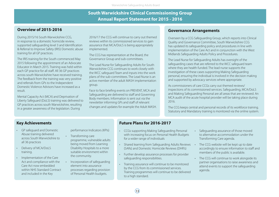#### **South Warwickshire Clinical Commissioning Group Annual Report Statement for 2015 - 2016**

#### **Overview of 2015-2016**

During 2015/16 South Warwickshire CCG, in response to a domestic homicide review, supported safeguarding level 3 and Identification & Referral to Improve Safety (IRIS) Domestic abuse training for all GP practices.

The IRIS training for the South commenced May 2015 following the appointment of an Advocate Educator in March 2015. Training was held within each GP practice for all staff. All 36 GP practices across south Warwickshire have received training. The feedback from the training was very positive and referrals from GPs to the Independent Domestic Violence Advisors have increased as a result.

Mental Capacity Act (MCA) and Deprivation of Liberty Safeguard (DoLS) training was delivered to GP practices across south Warwickshire, resulting in a greater awareness of the legislation. During

2016/17 the CCG will continue to carry out themed reviews within its commissioned services to gain assurance that MCA/DoLS is being appropriately implemented.

The CCG has representation at the Board, the Governance Group and sub-committees.

The Lead Nurse for Safeguarding Adults for South Warwickshire CCG continues to work closely with the WCC safeguard Team and inputs into the work plans of the sub-committees. The Lead Nurse is an active member of the adult MASH implementation group.

Face to face briefing events on PREVENT, MCA and Safeguarding are delivered to staff and Governing Body members. Information is sent out via the newsletter informing GPs and staff of relevant changes and updates for example the Adult MASH.

#### **Governance Arrangements**

Overseen by a CCG Safeguarding Group, which reports into Clinical Quality and Governance Committee, South Warwickshire CCG has updated its safeguarding policy and procedures in line with implementation of the Care Act and in conjunction with the West Midlands Safeguarding Adults Policy and Procedures.

The Lead Nurse for Safeguarding Adults has oversight of the safeguarding cases that are referred to the WCC safeguard team where they are health funded. The lead nurse supports the investigation of these cases supporting Making Safeguarding personal, ensuring the individual is involved in the decision making and supported by advocacy services where appropriate.

As commissioners of care CCGs carry out themed reviews/ inspections of its commissioned services. Safeguarding, MCA/DoLS and Making Safeguarding Personal are all areas that are reviewed. An MCA audit of the acute hospital provider will be taking place during 2016.

The CCG keeps central and personal records of its workforce training. Statutory and Mandatory training is monitored via the online system.

#### **Key Achievements**

- GP safeguard and Domestic Abuse training delivered across South Warwickshire to all 36 practices
- Delivery of MCA/DoLS training.
- Implementation of the Care Act and compliance with the Care Act now embedded within NHS Standard Contract and included in the Key

#### performance Indicators (KPIs)

- Transforming care programme, vulnerable adults being moved from Learning Disability Hospitals to a more suitable environment within the community.
- Incorporation of safeguarding element into assurance processes regarding provision of Personal Health budgets.

#### **Future Plans for 2016-2017**

- CCGs supporting Making Safeguarding Personal with increasing focus on Personal Health Budgets for a wider range of individuals
- Shared learning from Safeguarding Adults Reviews (SARs) and Domestic Homicide Reviews (DHR's)
- Further develop assurance processes for provider safeguarding responsibilities.
- Training assurance will continue to be monitored by the CCG from its commissioned services. Training programmes will continue to be delivered to a high standard.
- Safeguarding assurance of those moved to alternative accommodation under the Transforming Care agenda.
- The CCG website will be kept up to date accordingly to ensure information to staff and members of the public is available.
- The CCG will continue to work alongside its partner organisations to raise awareness and attend events to support the safeguarding agenda.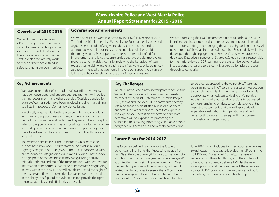### **Warwickshire Police and West Mercia Police Annual Report Statement for 2015 - 2016**

#### **Overview of 2015-2016**

Warwickshire Police has a vision of 'protecting people from harm', which focuses our activity on the delivery of the Adult Safeguarding Board priorities as set out in the strategic plan. We actively work to make a difference with adult safeguarding in our communities.

Warwickshire Police were inspected by the HMIC in December 2015. The findings highlighted that Warwickshire Police generally provided a good service in identifying vulnerable victims and responded appropriately with its partners, and the public could be confident that many victims felt supported. There were areas identified for

**Governance Arrangements**

improvement, and it was recommended that we should improve our response to vulnerable victims by reviewing the behaviour of staff towards vulnerability and evaluating the effectiveness of its training. It also recommended that we should improve our support to Victims of Crime, specifically in relation to the use of special measures.

We are addressing the HMIC recommendations to address the issues identified and have promoted a more consistent approach in relation to the understanding and managing the adult safeguarding process. All new to role staff have an input on safeguarding. Service delivery is also developed through engagement in Serious Case Review processes. A dedicated Detective Inspector for Strategic Safeguarding is responsible for thematic reviews of SCR learning to ensure service delivery takes into account the lessons to be learnt & ensure action plans are seen through to conclusion.

#### **Key Achievements**

- We have ensured that officers' adult safeguarding awareness has been developed, and encouraged engagement with police training departments and other agencies. Outside agencies, for example Women's Aid, have been involved in delivering training to all staff in respect of Domestic violence issues.
- We directly engage with both service providers and our adults with care and support needs in the community. Training has helped to improve general understanding around the concept of safeguarding being every ones responsibility. By adopting a victim focused approach and working in unison with partner agencies, there have been positive outcomes for our adults with care and support needs.
- The Warwickshire Police Harm Assessment Units across the alliance have now been used to staff the Warwickshire Multi Agency Safe guarding Hub (MASH). The HAU is concerned with our response to Safeguarding Adults and Children. They provide a single point of contact for statutory safeguarding activity, referrals both into and out of the force and deal with requests for information from partners that relate to immediate safeguarding activity within the MASH. They will enable improved oversight of the quality and flow of information between agencies, resulting in the ability to safeguard the vulnerable and provide the right response as quickly and efficiently as possible.

#### **Key Challenges**

We have introduced a new investigative model within Warwickshire Police which blends within it existing members of specialist Protecting Vulnerable People (PVP) teams and the local CID departments, thereby retaining those specialist staff but spreading them out across the larger teams to share that expertise and experience. There is an expectation that more detectives will be exposed to protecting the vulnerable thus making protecting vulnerable people everyone's business and in line with the forces vision

to be great at protecting the vulnerable. There has been an increase in officers in this area of investigation to complement this change. The teams will identify appropriately trained staff to deal with Vulnerable Adults and require outstanding actions to be passed to those remaining on duty to complete. One of the expected outcomes is that this will appropriately expedite investigations. All Operational staff will have continual access to safeguarding processes, information and supervision.

#### **Future Plans for 2016-2017**

The force has defined its vision for the future of policing, and highlights that 'Protecting people from harm' is at the core of everything we do. The overriding ambition over the next five years is to become 'great' at protecting the most vulnerable from harm. Over the next two years we will be increasing vulnerability related training courses to ensure that officers have the knowledge and training to complement their new priorities. Additional courses will take place from

June 2016, which includes two new courses – Serious Sexual Assault Investigative Development Programme (SSAIDP) and Professional Curiosity. The issue of vulnerability is threaded throughout the content of other courses currently delivered. Whilst the new investigation model has commenced, there remains a Strategic PVP team to ensure an overview of policy, procedure, communication and leadership.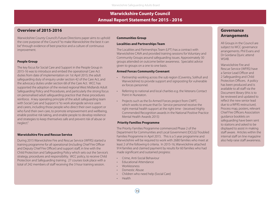### **Warwickshire County Council Annual Report Statement for 2015 - 2016**

#### **Overview of 2015-2016**

Warwickshire County Council's Future Directions paper aims to uphold the core purpose of the Council "to make Warwickshire the best it can be" through evidence of best practice and a culture of continuous improvement.

#### **People Group**

The key focus for Social Care and Support in the People Group in 2015-16 was to introduce and embed the operational Care Act duties from date of implementation on 1st April 2015; the adult safeguarding duty of enquiry under section 42 of the Care Act, and the advocacy duties under section 68 of the Care Act. WCC has supported the adoption of the revised regional West Midlands Adult Safeguarding Policy and Procedures, and particularly the strong focus on personalised adult safeguarding practice that these procedures reinforce. A key operating principle of the adult safeguarding team with Social Care and Support is "to work alongside service users and carers, including those people who direct their own support or who fund their own care, to promote empowerment and wellbeing. enable positive risk taking, and enable people to develop resilience and strategies to keep themselves safe and prevent risk of abuse or neglect."

#### **Warwickshire Fire and Rescue Service**

During 2015 Warwickshire Fire and Rescue Service (WFRS) started a training programme for all operational (including Chief Fire Officer and Deputy Chief Fire Officer) and support staff, in line with the Child Protection and Safeguarding Policy which sets out the Service's strategy, procedures and responsibility. WCC policy, to receive Child Protection and Safeguarding training. 27 courses took place with a total of 242 members of staff receiving the 3 hour training session.

#### **Communities Group**

#### **Localities and Partnerships Team**

The Localities and Partnerships Team (LPT) has a contract with Warwickshire CAVA and provided training sessions for Voluntary and Community Groups around safeguarding issues. Approximately 30 groups attended on outcome better awareness. Specialist advice given to groups on a one to one basis.

#### **Armed Forces Community Covenant**

- Partnership working across the sub region (Coventry, Solihull and Warwickshire) to provide support and signposting for vulnerable ex forces personnel.
- Referring to national and local charities e.g. the Veterans Contact Point in Nuneaton.
- Projects such as the Ex-Armed Forces project from CWPT, which works to ensure that Ex- Service personnel receive the right mental health support at the right time - (received Highly Commended Recognition awards in the National Positive Practice Mental Health Awards 2015)

#### **Priority Families Programme**

The Priority Families Programme commenced Phase 2 of the Department for Communities and Local Government (DCLG) Troubled Families Programme in April 2015. This is a 5 year programme and Warwickshire will be required to work with 2680 families who meet at least 2 of the following 6 criteria. In 2015-16, Warwickshire attached 914 families and claimed payment by results for 60 families who had made significant and sustained progress:

- Crime, Anti-Social Behaviour
- Educational Attendance
- Worklessness
- Domestic Abuse
- Children who need help (Social Care)
- Health

#### **Governance Arrangements**

All Groups in the Council are subject to WCC governance arrangements. Phil Evans and Dr Gordana Djuric attend **WSAB.** 

Warwickshire Fire and Rescue Service (WFRS) have a Senior Lead Officer and 2 Safeguarding and Child Protection Officers. A policy has been produced and is available to all staff via the Document library (this is to be reviewed and updated to reflect the new senior lead due to a WFRS restructure). Process map, posters, relevant Chief Fire Officers Association guidance booklets on safeguarding have been sent to stations and asked to be displayed to assist in making staff aware. Articles within the internal staff on line magazine also help raise staff awareness.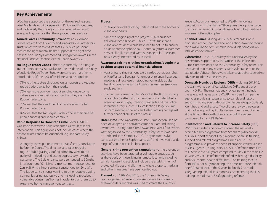#### **Key Achievements**

WCC has supported the adoption of the revised regional West Midlands Adult Safeguarding Policy and Procedures, and particularly the strong focus on personalised adult safeguarding practice that these procedures reinforce.

**Armed Forces Community Covenant,** an ex-Armed Forces project from Coventry and Warwickshire Partnership Trust, which works to ensure that Ex- Service personnel receive the right mental health support at the right time has received Highly Commended Recognition awards in the National Positive Practice Mental Health Awards, 2015.

**No Rogue Trader Zones** - there are currently 7 No Rogue Trader Zones across Warwickshire. The residents of the Binley Woods No Rogue Trader Zone were surveyed 1yr after its introduction. Of the 42% of residents who responded:

- 71% felt the stickers displayed on lampposts are keeping rogue traders away from their roads.
- 76% feel more confident about sending unwelcome callers away from their doors now that they are in a No Rogue Trader Zone.
- 78% feel that they and their homes are safer in a No Rogue Trader Zone.
- 89% feel that the No Rogue Trader Zone in their area has been a success and should continue.

**Rapid Response to Doorstep Crime** - over £26,000 was saved for Warwickshire residents as a result of rapid intervention. This figure does not include cases where the potential loss cannot be quantified (e.g. see case study below):

• A lengthy investigation came to a satisfactory conclusion before the Courts. The directors and sales reps of a rogue double glazing /roofing company were found guilty of misleading and acting aggressively towards its customers. The 6 defendants were sentenced to 30mths imprisonment (x2), 12mths imprisonment suspended for 2yrs (x3), 9mths imprisonment suspended for 2yrs (x1). The Judge sent a strong warning to other double glazing companies using aggressive and misleading practices in vulnerable consumers' homes in order to sign them up to expensive home improvement contracts.

#### **Truecall**

- 26 telephone call blocking units installed in the homes of vulnerable adults.
- Since the beginning of the project 15,489 nuisance calls have been blocked. This is 15,489 times that a vulnerable resident would have had to get up to answer an unwanted telephone call - potentially from a scammer. 43% of all calls received were nuisance calls. These are now silently intercepted by Truecall.

#### **Awareness raising with key organisations/people in a position to spot potential financial abuse:**

- Awareness raising sessions were carried out at branches of NatWest and Barclays. A number of referrals have been made as a direct result – stopping vulnerable adults handing over large sums of cash to scammers (see case study section).
- Training was carried out for 75 staff at the Rugby sorting office. Shortly afterwards a member of staff identified a scam victim in Rugby. Trading Standards and the Police intervened very successfully, collecting a large volume of scam mail from the lady and safeguarding her against further financial abuse of this nature.

**Hate Crime -** the Warwickshire Hate Crime Action Plan has been developed and activities carried out around raising awareness. During Hate Crime Awareness Week four events were organised by the Community Safety Team (two each on 13th and 14th October 2015). They featured Sylvia Lancaster (mother of Sophie Lancaster) and involved a wide range of staff in particular local police.

**General crime prevention campaigns** - crime prevention activities have been targeted at vulnerable groups such as the elderly or those living in remote locations including canals. Reassuring activities include the establishment of protected villages and allotments where property marking and other measures have been carried out.

**Prevent** - on 12th May 2015, the Community Safety team organised a 'Prevent' conference involving variety of stakeholders and this was used to create the County's

Prevent Action plan (reported to WSAB). Following discussions with the Home Office, plans were put in place to appoint a Prevent Officer whose role is to help partners implement the action plan.

**Channel Panel** - during 2015/16, several cases were discussed at the Channel Panel and actions taken to reduce the risk/likelihood of vulnerable individuals being drawn into violent extremism.

**Cybercrime** - in 2015, a survey was undertaken by the observatory supported by the Office of the Police and Crime Commissioner and the Community Safety team. This discovered that many residents were vulnerable to online exploitation/abuse. Steps were taken to appoint cybercrime advisors to address these issues.

**Domestic Homicide Reviews (DHRs)** - during 2015-16, the team worked on 8 Warwickshire DHRs and 2 out of county DHRs. The multi-agency review panels include the safeguarding leads and WSAB members from partner agencies providing reassurance to panels and report authors that any adult safeguarding issues are appropriately identified and addressed. Two of these reviews are cases that had Safeguarding Adults Reviews been a requirement at the time of the death, the cases would have been considered for joint DHRs/SARs.

#### **Identification and Referral to Increase Safety (IRIS)**

- WCC has funded and commissioned the nationally accredited IRIS programme from Stonham (who provide our DA support service). IRIS is a domestic abuse training, support and referral programme aimed at GPs. The programme also provides specialist support workers linked to GP surgeries. During 2015-16, 72% of referrals from GPs to IRIS were over 41 years, compared to 31% in the main DA service, 26% of IRIS referrals identified as having a disability and 62% mental health difficulties. The training for GPs from IRIS is not only impacting on domestic abuse referrals, one GP stated that in the 5 years before IRIS he made 1 safeguarding referral, in 3 months since receiving the IRIS training he had made 3 safeguarding referrals.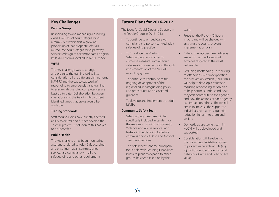#### **Key Challenges**

#### **People Group**

Responding to and managing a growing overall volume of adult safeguarding referrals, but within this, a growing proportion of inappropriate referrals routed into adult safeguarding pathway. Service redesign to accommodate and gain best value from a local adult MASH model.

#### **WFRS**

The key challenge was to arrange and organise the training taking into consideration all the different shift patterns in WFRS and the day to day work of responding to emergencies and training to ensure safeguarding competences are kept up to date. Collaboration between operations and the training department identified times that crews would be available.

#### **Trading Standards**

Staff redundancies have directly affected ability to deliver and further develop the Truecall project. A solution to this has yet to be identified.

#### **Public Health**

The key challenge has been monitoring awareness related to Adult Safeguarding and ensuring that all commissioned services are compliant with all the safeguarding and other requirements.

#### **Future Plans for 2016-2017**

The focus for Social Care and Support in the People Group in 2016-17 is:

- To continue to embed Care Act compliant and person-centred adult safeguarding practice.
- To introduce the Making Safeguarding Personal sector outcome measures into all adult safeguarding case recording through implementation of the MOSAIC recording system.
- To continue to contribute to the ongoing development of the regional adult safeguarding policy and procedures, and associated guidance.
- To develop and implement the adult MASH.

#### **Community Safety Team**

- Safeguarding measures will be specifically included in tenders for the re-commissioning of Domestic Violence and Abuse services and feature in the planning for future commissioning of Drug and Alcohol Treatment Services.
- The 'Safe Places' scheme principally for People with Learning Disabilities but with plans to expand to other groups has been taken on by the

team.

- Prevent the Prevent Officer is in post and will be charged with assisting the county prevent implementation plan.
- Cybercrime Cybercrime Advisors are in post and will carry out activities targeted at the most vulnerable.
- Reducing Reoffending a reducing re-offending event incorporating the nine action strands (April 2016) will help to develop a refreshed reducing reoffending action plan to help partners understand how they can contribute to the agenda and how the actions of each agency can impact on others. The overall aim is to increase the support to individuals with a consequential reduction in harm to them and society.
- Domestic abuse workstream in MASH will be developed and supported.
- Consideration will be given to the use of new legislative powers to protect vulnerable adults (e.g. injunctions under the Anti-social behaviour, Crime and Policing Act 2014).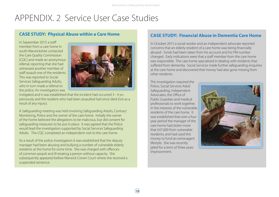### APPENDIX. 2 Service User Case Studies

#### **CASE STUDY: Physical Abuse within a Care Home**

In September 2015 a staff member from a care home in south Warwickshire contacted the Care Quality Commission (CQC) and made an anonymous referral, reporting that she had witnessed another member of staff assault one of the residents. This was reported to Social Services Safeguarding Adults, who in turn made a referral to the police. An investigation was



instigated and it was established that the incident had occurred 3 - 4 yrs previously and the resident who had been assaulted had since died (not as a result of any injury).

A Safeguarding meeting was held involving Safeguarding Adults, Contract Monitoring, Police and the owner of the care home. Initially the owner of the home believed the allegations to be malicious, but did consent for safeguarding measures to be put in place. It was agreed that the Police would lead the investigation supported by Social Services Safeguarding Adults. The CQC completed an independent visit to the care home.

As a result of the police investigation it was established that the deputy manager had been abusing and bullying a number of vulnerable elderly residents at the home for some time. She was charged with offences of common assault and ill-treating a person without capacity. She subsequently appeared before Warwick Crown Court where she received a suspended sentence.

#### **CASE STUDY: Financial Abuse in Dementia Care Home**

In October 2015 a social worker and an independent advocate reported concerns that an elderly resident of a care home was being financially abused - funds had been taken from his account and his PIN number changed. Early indications were that a staff member from the care home was responsible. The care home specialised in dealing with residents that suffered from dementia. Social Services made further safeguarding enquiries at the care home and discovered that money had also gone missing from other residents.

The investigation required the Police, Social Services Adult Safeguarding, Independent Advocates, the Office of Public Guardian and medical professionals to work together, in the interests of the vulnerable residents of the care home. It was established that over a four year period the manager of the care home had stolen more that £47,000 from vulnerable residents, and had used this money to fund an extravagant lifestyle. She was recently jailed for a term of three years imprisonment.



 $(18)$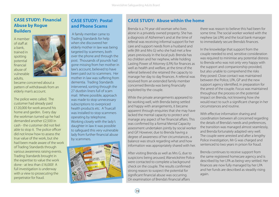#### **CASE STUDY: Financial Abuse by Rogue Builders**

A member of staff at a bank, trained in spotting potential financial abuse of vulnerable adults,



became concerned about a pattern of withdrawals from an elderly man's account.

The police were called. The customer had already paid £120,000 for work around his home and garden. Every day the workman turned up he had demanded another £2,500 in cash - the customer did not feel able to stop it. The police officer did not know how to assess the true value of the work, but she had been made aware of the work of Trading Standards through various awareness raising events. Trading Standards brought in the expertise to value the work done - at less than £16,000! A full investigation is underway with a view to prosecuting the perpetrator for fraud.

#### **CASE STUDY: Postal and Phone Scams**

 A family member came to Trading Standards for help when she discovered her elderly mother in law was being targeted by scammers, both over the phone and through the post. Thousands of pounds had gone missing from her mother in law's account, believed to have been paid out to scammers. Her mother in law was suffering from dementia. Trading Standards intervened, sorting through the 27 dustbin liners full of scam mail. Where possible, approach was made to stop unnecessary subscriptions to overpriced health products etc. A Truecall was installed to stop scammers operating by telephone. Working closely with the lady's daughter in law it was possible to safeguard this very vulnerable lady from further financial abuse by scammers.



#### **CASE STUDY: Abuse within the home**

Brenda is a 74 year old woman who lives alone in a privately owned property. She has a diagnosis of Alzheimer's and at the time of referral was receiving informal support for her care and support needs from a husband and wife (Mr and Mrs G) who she had met a few years previously in the local pub. Brenda has no children and her nephew, while holding Lasting Power of Attorney (LPA) for finances as well as health and welfare, at the time of the referral believed she retained the capacity to manage her day to day finances. A referral was received from an extended family member concerned Brenda was being financially exploited by the couple.

While the private arrangements appeared to be working well, with Brenda being settled and happy with arrangements, it became apparent through enquiries that she may have lacked the mental capacity to protect and manage any aspect of her financial affairs. This was confirmed by a formal Mental Capacity assessment undertaken jointly by social worker and GP. However, due to Brenda having a degree of awareness of her circumstances, a balance was struck regarding what and how information was appropriately shared with her.

After visiting Brenda as well as Mrs G, due to suspicions being aroused, Warwickshire Police were contacted to complete a background check on the couple. The results confirmed strong reason to suspect the potential for significant financial abuse was occurring. On examination of Brenda's financial affairs

there was reason to believe this had been for some time. The social worker worked with the nephew (as LPA) and the local bank manager to immediately secure Brenda's finances.

In the knowledge that support from the couple needed to end, sensitive consideration was required to minimise any potential distress to Brenda who was not only very happy with the support and companionship provided, but also unable to comprehend the risks they posed. Close contact was maintained between the Police, LPA, GP and the new support agency identified, in preparation for the arrest of the couple. Focus was maintained throughout the process on the potential impact on Brenda, not knowing how she would react to such a significant change in her circumstances and routine.

With effective information sharing and coordination between all concerned regarding the details of Brenda's needs and preferences, the transition was managed almost seamlessly, and Brenda fortunately adapted very well. The couple were arrested and after a lengthy Police investigation, Mr G was charged and sentenced to two years in prison for fraud.

Brenda continues to receive support from the same registered homecare agency and is described by her LPA as being very settled. Her finances are now fully managed by her LPA and her funds are described as steadily rising again.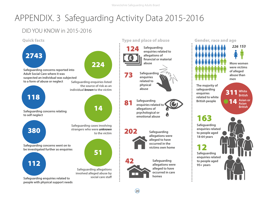Warwickshire Safeguarding Adults Board

# APPENDIX. 3 Safeguarding Activity Data 2015-2016

### DID YOU KNOW in 2015-2016

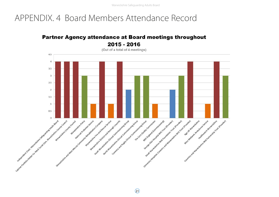Warwickshire Safeguarding Adults Board

### APPENDIX. 4 Board Members Attendance Record

### **Partner Agency attendance at Board meetings throughout** 2015 - 2016

(Out of a total of 4 meetings)



 $\Omega$